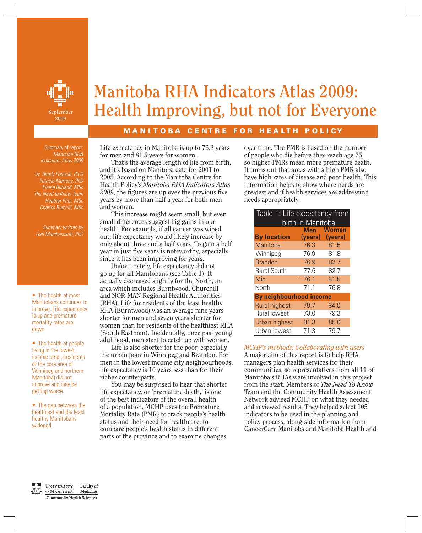

# **Manitoba RHA Indicators Atlas 2009: F Health Improving, but not for Everyone**

# **MANITOBA CENTRE FOR HEALTH POLICY**

Summary of report:  *Manitoba RHA Indicators Atlas 2009*

 *by Randy Fransoo, Ph D Patricia Martens, PhD Elaine Burland, MSc The Need to Know Team Heather Prior, MSc Charles Burchill, MSc*

 *Summary written by Gail Marchessault, PhD* 

*•* The health of most Manitobans continues to improve. Life expectancy is up and premature mortality rates are down.

*•* The health of people living in the lowest income areas (residents of the core area of Winnipeg and northern Manitoba) did not improve and may be getting worse.

*•* The gap between the healthiest and the least healthy Manitobans widened.

Life expectancy in Manitoba is up to 76.3 years for men and 81.5 years for women.

 That's the average length of life from birth, and it's based on Manitoba data for 2001 to 2005. According to the Manitoba Centre for Health Policy's *Manitoba RHA Indicators Atlas*  2009, the figures are up over the previous five years by more than half a year for both men and women.

 This increase might seem small, but even small differences suggest big gains in our health. For example, if all cancer was wiped out, life expectancy would likely increase by only about three and a half years. To gain a half year in just five years is noteworthy, especially since it has been improving for years.

 Unfortunately, life expectancy did not go up for all Manitobans (see Table 1). It actually decreased slightly for the North, an area which includes Burntwood, Churchill and NOR-MAN Regional Health Authorities (RHA). Life for residents of the least healthy RHA (Burntwood) was an average nine years shorter for men and seven years shorter for women than for residents of the healthiest RHA (South Eastman). Incidentally, once past young adulthood, men start to catch up with women.

 Life is also shorter for the poor, especially the urban poor in Winnipeg and Brandon. For men in the lowest income city neighbourhoods, life expectancy is 10 years less than for their richer counterparts.

 You may be surprised to hear that shorter life expectancy, or 'premature death,' is one of the best indicators of the overall health of a population. MCHP uses the Premature Mortality Rate (PMR) to track people's health status and their need for healthcare, to compare people's health status in different parts of the province and to examine changes

over time. The PMR is based on the number of people who die before they reach age 75, so higher PMRs mean more premature death. It turns out that areas with a high PMR also have high rates of disease and poor health. This information helps to show where needs are greatest and if health services are addressing needs appropriately.

| Table 1: Life expectancy from |      |                 |  |  |  |  |
|-------------------------------|------|-----------------|--|--|--|--|
| birth in Manitoba             |      |                 |  |  |  |  |
|                               | Men  | <b>Women</b>    |  |  |  |  |
| <b>By location</b>            |      | (years) (years) |  |  |  |  |
| Manitoba                      | 76.3 | 81.5            |  |  |  |  |
| Winnipeg                      | 76.9 | 81.8            |  |  |  |  |
| <b>Brandon</b>                | 76.9 | 82.7            |  |  |  |  |
| <b>Rural South</b>            | 77.6 | 82.7            |  |  |  |  |
| Mid                           | 76.1 | 81.5            |  |  |  |  |
| North                         | 71.1 | 76.8            |  |  |  |  |
| By neighbourhood income       |      |                 |  |  |  |  |
| <b>Rural highest</b>          | 79.7 | 84.0            |  |  |  |  |
| Rural lowest                  | 73.0 | 79.3            |  |  |  |  |
| Urban highest                 | 81.3 | 85.0            |  |  |  |  |
| Urban lowest                  | 71.3 | 79.7            |  |  |  |  |

*MCHP's methods: Collaborating with users*

A major aim of this report is to help RHA managers plan health services for their communities, so representatives from all 11 of Manitoba's RHAs were involved in this project from the start. Members of *The Need To Know* Team and the Community Health Assessment Network advised MCHP on what they needed and reviewed results. They helped select 105 indicators to be used in the planning and policy process, along-side information from CancerCare Manitoba and Manitoba Health and

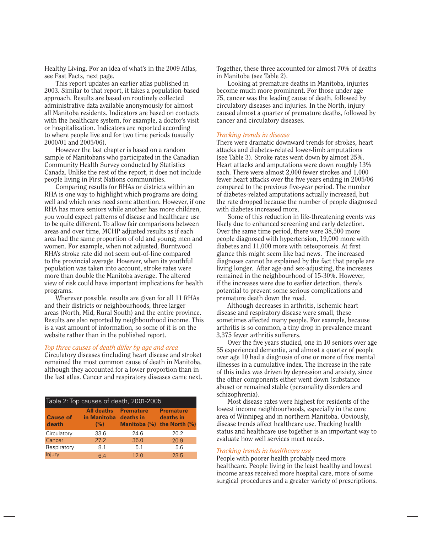Healthy Living. For an idea of what's in the 2009 Atlas, see Fast Facts, next page.

 This report updates an earlier atlas published in 2003. Similar to that report, it takes a population-based approach. Results are based on routinely collected administrative data available anonymously for almost all Manitoba residents. Indicators are based on contacts with the healthcare system, for example, a doctor's visit or hospitalization. Indicators are reported according to where people live and for two time periods (usually 2000/01 and 2005/06).

 However the last chapter is based on a random sample of Manitobans who participated in the Canadian Community Health Survey conducted by Statistics Canada. Unlike the rest of the report, it does not include people living in First Nations communities.

 Comparing results for RHAs or districts within an RHA is one way to highlight which programs are doing well and which ones need some attention. However, if one RHA has more seniors while another has more children, you would expect patterns of disease and healthcare use to be quite different. To allow fair comparisons between areas and over time, MCHP adjusted results as if each area had the same proportion of old and young; men and women. For example, when not adjusted, Burntwood RHA's stroke rate did not seem out-of-line compared to the provincial average. However, when its youthful population was taken into account, stroke rates were more than double the Manitoba average. The altered view of risk could have important implications for health programs.

 Wherever possible, results are given for all 11 RHAs and their districts or neighbourhoods, three larger areas (North, Mid, Rural South) and the entire province. Results are also reported by neighbourhood income. This is a vast amount of information, so some of it is on the website rather than in the published report.

### *Top three causes of death differ by age and area*

Circulatory diseases (including heart disease and stroke) remained the most common cause of death in Manitoba, although they accounted for a lower proportion than in the last atlas. Cancer and respiratory diseases came next.

| Table 2: Top causes of death, 2001-2005 |                                                             |                  |                                                                   |  |  |  |  |  |
|-----------------------------------------|-------------------------------------------------------------|------------------|-------------------------------------------------------------------|--|--|--|--|--|
| <b>Cause of</b><br>death                | <b>All deaths</b><br>in Manitoba deaths in<br>$(%)^{\circ}$ | <b>Premature</b> | <b>Premature</b><br>deaths in<br>Manitoba $(\%)$ the North $(\%)$ |  |  |  |  |  |
| Circulatory                             | 33.6                                                        | 24.6             | 20.2                                                              |  |  |  |  |  |
| Cancer                                  | 27.2                                                        | 36.0             | 20.9                                                              |  |  |  |  |  |
| Respiratory                             | 8.1                                                         | 5.1              | 5.6                                                               |  |  |  |  |  |
| Injury                                  | 6.4                                                         | 12.0             | 23.5                                                              |  |  |  |  |  |

Together, these three accounted for almost 70% of deaths in Manitoba (see Table 2).

 Looking at premature deaths in Manitoba, injuries become much more prominent. For those under age 75, cancer was the leading cause of death, followed by circulatory diseases and injuries. In the North, injury caused almost a quarter of premature deaths, followed by cancer and circulatory diseases.

#### *Tracking trends in disease*

There were dramatic downward trends for strokes, heart attacks and diabetes-related lower-limb amputations (see Table 3). Stroke rates went down by almost 25%. Heart attacks and amputations were down roughly 13% each. There were almost 2,000 fewer strokes and 1,000 fewer heart attacks over the five years ending in 2005/06 compared to the previous five-year period. The number of diabetes-related amputations actually increased, but the rate dropped because the number of people diagnosed with diabetes increased more.

 Some of this reduction in life-threatening events was likely due to enhanced screening and early detection. Over the same time period, there were 38,500 more people diagnosed with hypertension, 19,000 more with diabetes and 11,000 more with osteoporosis. At first glance this might seem like bad news. The increased diagnoses cannot be explained by the fact that people are living longer. After age-and sex-adjusting, the increases remained in the neighbourhood of 15-30%. However, if the increases were due to earlier detection, there's potential to prevent some serious complications and premature death down the road.

 Although decreases in arthritis, ischemic heart disease and respiratory disease were small, these sometimes affected many people. For example, because arthritis is so common, a tiny drop in prevalence meant 3,375 fewer arthritis sufferers.

Over the five years studied, one in 10 seniors over age 55 experienced dementia, and almost a quarter of people over age 10 had a diagnosis of one or more of five mental illnesses in a cumulative index. The increase in the rate of this index was driven by depression and anxiety, since the other components either went down (substance abuse) or remained stable (personality disorders and schizophrenia).

 Most disease rates were highest for residents of the lowest income neighbourhoods, especially in the core area of Winnipeg and in northern Manitoba. Obviously, disease trends affect healthcare use. Tracking health status and healthcare use together is an important way to evaluate how well services meet needs.

#### *Tracking trends in healthcare use*

People with poorer health probably need more healthcare. People living in the least healthy and lowest income areas received more hospital care, more of some surgical procedures and a greater variety of prescriptions.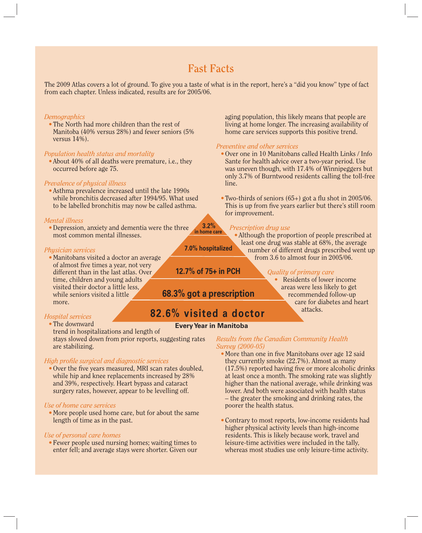# **Fast Facts**

The 2009 Atlas covers a lot of ground. To give you a taste of what is in the report, here's a "did you know" type of fact from each chapter. Unless indicated, results are for 2005/06.

#### *Demographics*

*•* The North had more children than the rest of Manitoba (40% versus 28%) and fewer seniors (5% versus 14%).

#### *Population health status and mortality*

*•* About 40% of all deaths were premature, i.e., they occurred before age 75.

#### *Prevalence of physical illness*

*•* Asthma prevalence increased until the late 1990s while bronchitis decreased after 1994/95. What used to be labelled bronchitis may now be called asthma.

#### *Mental illness*

*•* Depression, anxiety and dementia were the three most common mental illnesses. **in home care**

#### *Physician services*

*•* Manitobans visited a doctor an average of almost five times a year, not very different than in the last atlas. Over time, children and young adults visited their doctor a little less, while seniors visited a little more.

### *Hospital services*

*•* The downward trend in hospitalizations and length of

stays slowed down from prior reports, suggesting rates are stabilizing.

#### *High profi le surgical and diagnostic services*

• Over the five years measured, MRI scan rates doubled, while hip and knee replacements increased by 28% and 39%, respectively. Heart bypass and cataract surgery rates, however, appear to be levelling off.

#### *Use of home care services*

*•* More people used home care, but for about the same length of time as in the past.

#### *Use of personal care homes*

*•* Fewer people used nursing homes; waiting times to enter fell; and average stays were shorter. Given our aging population, this likely means that people are living at home longer. The increasing availability of home care services supports this positive trend.

#### *Preventive and other services*

- Over one in 10 Manitobans called Health Links / Info Sante for health advice over a two-year period. Use was uneven though, with 17.4% of Winnipeggers but only 3.7% of Burntwood residents calling the toll-free line.
- Two-thirds of seniors  $(65+)$  got a flu shot in  $2005/06$ . This is up from five years earlier but there's still room for improvement.

#### *Prescription drug use*

*•* Although the proportion of people prescribed at least one drug was stable at 68%, the average number of different drugs prescribed went up from 3.6 to almost four in 2005/06.

#### *Quality of primary care*

**Residents of lower income** areas were less likely to get recommended follow-up care for diabetes and heart attacks.

# **82.6% visited a doctor**

**68.3% got a prescription**

## **Every Year in Manitoba**

*Results from the Canadian Community Health Survey (2000-05)*

- More than one in five Manitobans over age 12 said they currently smoke (22.7%). Almost as many  $(17.5%)$  reported having five or more alcoholic drinks at least once a month. The smoking rate was slightly higher than the national average, while drinking was lower. And both were associated with health status – the greater the smoking and drinking rates, the poorer the health status.
- Contrary to most reports, low-income residents had higher physical activity levels than high-income residents. This is likely because work, travel and leisure-time activities were included in the tally, whereas most studies use only leisure-time activity.

**7.0% hospitalized**

**3.2%** 

**12.7% of 75+ in PCH**